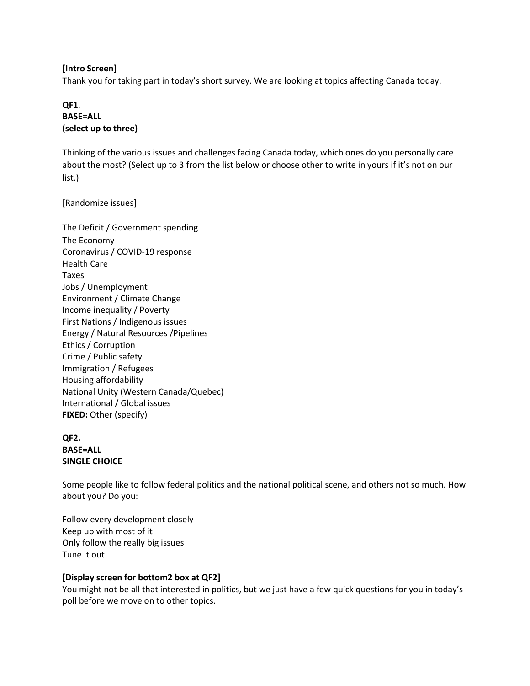### **[Intro Screen]**

Thank you for taking part in today's short survey. We are looking at topics affecting Canada today.

## **QF1**. **BASE=ALL (select up to three)**

Thinking of the various issues and challenges facing Canada today, which ones do you personally care about the most? (Select up to 3 from the list below or choose other to write in yours if it's not on our list.)

[Randomize issues]

The Deficit / Government spending The Economy Coronavirus / COVID-19 response Health Care Taxes Jobs / Unemployment Environment / Climate Change Income inequality / Poverty First Nations / Indigenous issues Energy / Natural Resources /Pipelines Ethics / Corruption Crime / Public safety Immigration / Refugees Housing affordability National Unity (Western Canada/Quebec) International / Global issues **FIXED:** Other (specify)

## **QF2. BASE=ALL SINGLE CHOICE**

Some people like to follow federal politics and the national political scene, and others not so much. How about you? Do you:

Follow every development closely Keep up with most of it Only follow the really big issues Tune it out

### **[Display screen for bottom2 box at QF2]**

You might not be all that interested in politics, but we just have a few quick questions for you in today's poll before we move on to other topics.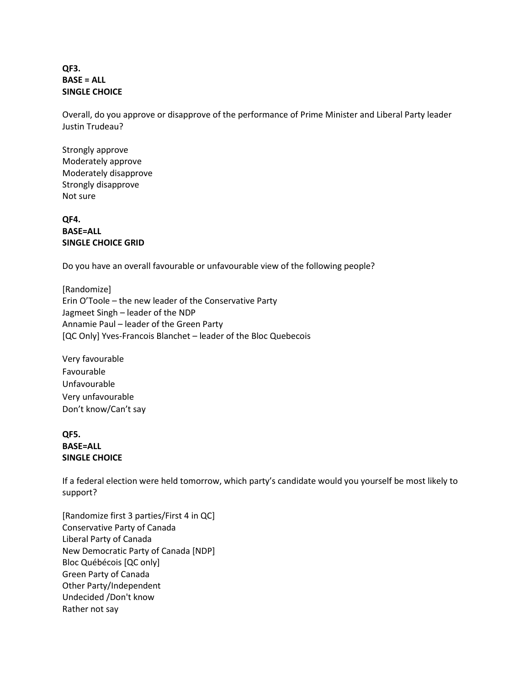### **QF3. BASE = ALL SINGLE CHOICE**

Overall, do you approve or disapprove of the performance of Prime Minister and Liberal Party leader Justin Trudeau?

Strongly approve Moderately approve Moderately disapprove Strongly disapprove Not sure

**QF4. BASE=ALL SINGLE CHOICE GRID**

Do you have an overall favourable or unfavourable view of the following people?

[Randomize] Erin O'Toole – the new leader of the Conservative Party Jagmeet Singh – leader of the NDP Annamie Paul – leader of the Green Party [QC Only] Yves-Francois Blanchet – leader of the Bloc Quebecois

Very favourable Favourable Unfavourable Very unfavourable Don't know/Can't say

## **QF5. BASE=ALL SINGLE CHOICE**

If a federal election were held tomorrow, which party's candidate would you yourself be most likely to support?

[Randomize first 3 parties/First 4 in QC] Conservative Party of Canada Liberal Party of Canada New Democratic Party of Canada [NDP] Bloc Québécois [QC only] Green Party of Canada Other Party/Independent Undecided /Don't know Rather not say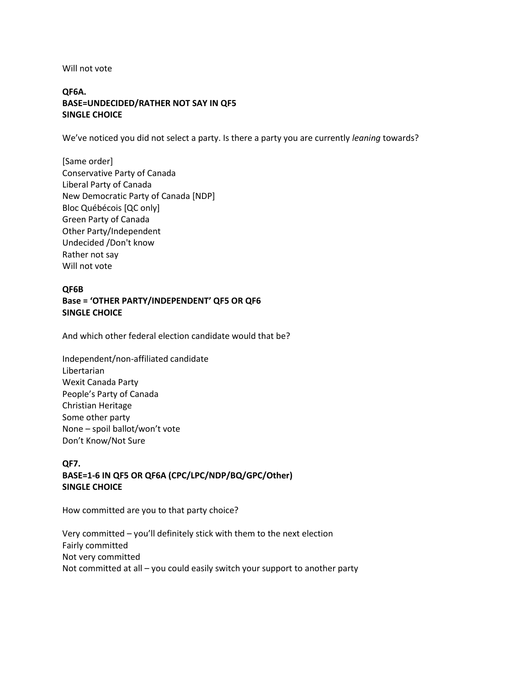Will not vote

## **QF6A. BASE=UNDECIDED/RATHER NOT SAY IN QF5 SINGLE CHOICE**

We've noticed you did not select a party. Is there a party you are currently *leaning* towards?

[Same order] Conservative Party of Canada Liberal Party of Canada New Democratic Party of Canada [NDP] Bloc Québécois [QC only] Green Party of Canada Other Party/Independent Undecided /Don't know Rather not say Will not vote

## **QF6B Base = 'OTHER PARTY/INDEPENDENT' QF5 OR QF6 SINGLE CHOICE**

And which other federal election candidate would that be?

Independent/non-affiliated candidate Libertarian Wexit Canada Party People's Party of Canada Christian Heritage Some other party None – spoil ballot/won't vote Don't Know/Not Sure

# **QF7. BASE=1-6 IN QF5 OR QF6A (CPC/LPC/NDP/BQ/GPC/Other) SINGLE CHOICE**

How committed are you to that party choice?

Very committed – you'll definitely stick with them to the next election Fairly committed Not very committed Not committed at all – you could easily switch your support to another party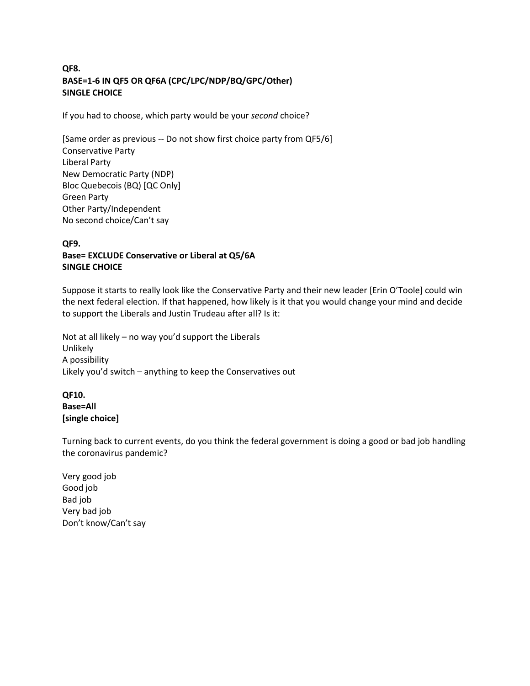# **QF8. BASE=1-6 IN QF5 OR QF6A (CPC/LPC/NDP/BQ/GPC/Other) SINGLE CHOICE**

If you had to choose, which party would be your *second* choice?

[Same order as previous -- Do not show first choice party from QF5/6] Conservative Party Liberal Party New Democratic Party (NDP) Bloc Quebecois (BQ) [QC Only] Green Party Other Party/Independent No second choice/Can't say

### **QF9. Base= EXCLUDE Conservative or Liberal at Q5/6A SINGLE CHOICE**

Suppose it starts to really look like the Conservative Party and their new leader [Erin O'Toole] could win the next federal election. If that happened, how likely is it that you would change your mind and decide to support the Liberals and Justin Trudeau after all? Is it:

Not at all likely – no way you'd support the Liberals Unlikely A possibility Likely you'd switch – anything to keep the Conservatives out

## **QF10. Base=All [single choice]**

Turning back to current events, do you think the federal government is doing a good or bad job handling the coronavirus pandemic?

Very good job Good job Bad job Very bad job Don't know/Can't say